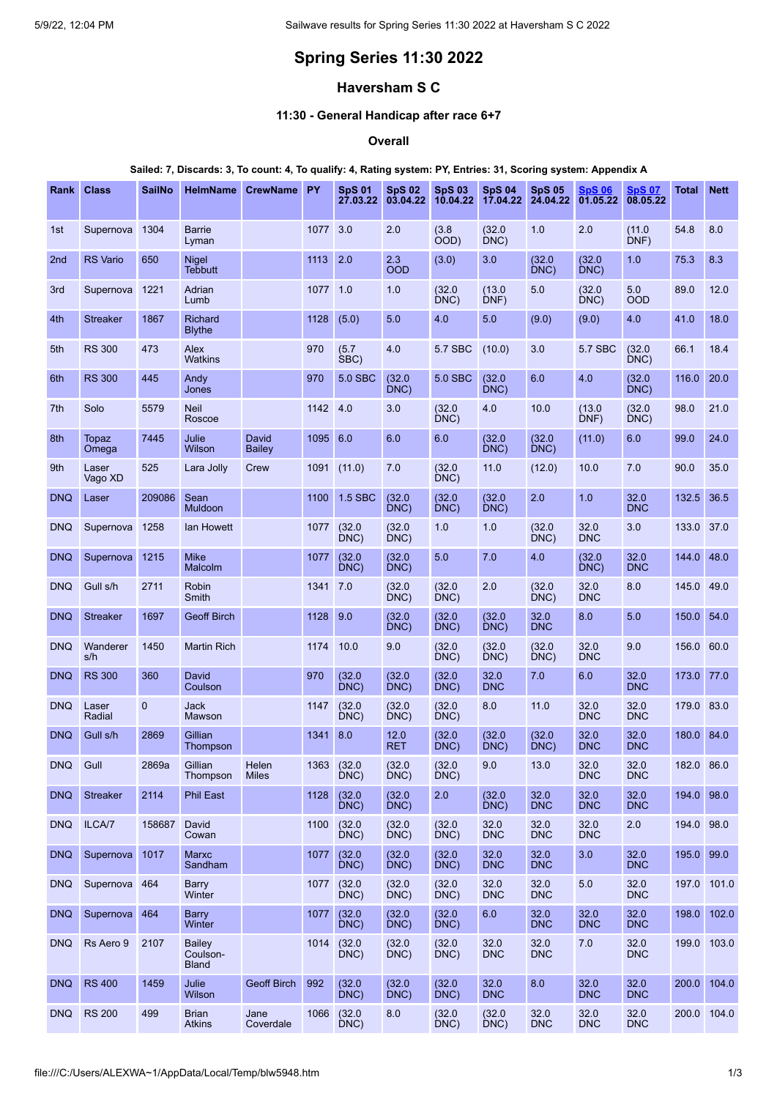# **Spring Series 11:30 2022**

## **Haversham S C**

## **11:30 - General Handicap after race 6+7**

## **Overall**

#### Sailed: 7, Discards: 3, To count: 4, To qualify: 4, Rating system: PY, Entries: 31, Scoring system: Appendix A

| <b>Class</b>     | <b>SailNo</b> | <b>HelmName</b>                             |                        |      | <b>SpS 01</b><br>27.03.22 | <b>SpS 02</b><br>03.04.22 | <b>SpS 03</b><br>10.04.22 | <b>SpS 04</b><br>17.04.22 | <b>SpS 05</b><br>24.04.22 | <b>SpS 06</b><br>01.05.22 | <b>SpS 07</b><br>08.05.22 | <b>Total</b> | <b>Nett</b> |
|------------------|---------------|---------------------------------------------|------------------------|------|---------------------------|---------------------------|---------------------------|---------------------------|---------------------------|---------------------------|---------------------------|--------------|-------------|
| Supernova        | 1304          | <b>Barrie</b><br>Lyman                      |                        | 1077 | 3.0                       | 2.0                       | (3.8)<br>ÒOD)             | (32.0)<br>DNC)            | 1.0                       | 2.0                       | (11.0)<br>DNF)            | 54.8         | 8.0         |
| <b>RS</b> Vario  | 650           | <b>Nigel</b><br><b>Tebbutt</b>              |                        | 1113 | 2.0                       | 2.3<br><b>OOD</b>         | (3.0)                     | 3.0                       | (32.0)<br>DNC)            | (32.0)<br>DNC)            | 1.0                       | 75.3         | 8.3         |
| Supernova        | 1221          | <b>Adrian</b><br>Lumb                       |                        |      |                           | 1.0                       | (32.0)<br>DNC)            | (13.0)<br>DNF)            | 5.0                       | (32.0)<br>DNC)            | 5.0<br><b>OOD</b>         | 89.0         | 12.0        |
| <b>Streaker</b>  | 1867          | Richard<br><b>Blythe</b>                    |                        | 1128 | (5.0)                     | 5.0                       | 4.0                       | 5.0                       | (9.0)                     | (9.0)                     | 4.0                       | 41.0         | 18.0        |
| <b>RS 300</b>    | 473           | Alex<br><b>Watkins</b>                      |                        | 970  | (5.7)<br>SBC)             | 4.0                       | 5.7 SBC                   | (10.0)                    | 3.0                       | 5.7 SBC                   | (32.0)<br>DNC)            | 66.1         | 18.4        |
| <b>RS 300</b>    | 445           | Andy<br>Jones                               |                        | 970  | 5.0 SBC                   | (32.0)<br>DNC)            | <b>5.0 SBC</b>            | (32.0)<br>DNC)            | 6.0                       | 4.0                       | (32.0)<br>DNC)            | 116.0        | 20.0        |
| Solo             | 5579          | <b>Neil</b><br>Roscoe                       |                        | 1142 | 4.0                       | 3.0                       | (32.0)<br>DNC)            | 4.0                       | 10.0                      | (13.0)<br>DNF)            | (32.0)<br>DNC)            | 98.0         | 21.0        |
| Topaz<br>Omega   | 7445          | Julie<br>Wilson                             | David<br><b>Bailey</b> | 1095 | 6.0                       | 6.0                       | 6.0                       | (32.0)<br>DNC)            | (32.0)<br>DNC)            | (11.0)                    | 6.0                       | 99.0         | 24.0        |
| Laser<br>Vago XD | 525           | Lara Jolly                                  | Crew                   | 1091 | (11.0)                    | 7.0                       | (32.0)<br>DNC)            | 11.0                      | (12.0)                    | 10.0                      | 7.0                       | 90.0         | 35.0        |
| Laser            | 209086        | Sean<br><b>Muldoon</b>                      |                        | 1100 | 1.5 SBC                   | (32.0)<br>DNC)            | (32.0)<br>DNC)            | (32.0)<br>DNC)            | 2.0                       | 1.0                       | 32.0<br><b>DNC</b>        | 132.5        | 36.5        |
| Supernova        | 1258          | lan Howett                                  |                        | 1077 | (32.0)<br>DNC             | (32.0)<br>DNC)            | 1.0                       | 1.0                       | (32.0)<br>DNC)            | 32.0<br><b>DNC</b>        | 3.0                       | 133.0        | 37.0        |
| Supernova        | 1215          | <b>Mike</b><br>Malcolm                      |                        | 1077 | (32.0)<br>DNC)            | (32.0)<br>DNC)            | 5.0                       | 7.0                       | 4.0                       | (32.0<br>DNC)             | 32.0<br><b>DNC</b>        | 144.0        | 48.0        |
| Gull s/h         | 2711          | Robin<br>Smith                              |                        | 1341 | 7.0                       | (32.0)<br>DNC)            | (32.0)<br>DNC)            | 2.0                       | (32.0)<br>DNC)            | 32.0<br><b>DNC</b>        | 8.0                       | 145.0 49.0   |             |
| <b>Streaker</b>  | 1697          | <b>Geoff Birch</b>                          |                        | 1128 | 9.0                       | (32.0)<br>DNC)            | (32.0)<br>DNC)            | (32.0)<br>DNC)            | 32.0<br><b>DNC</b>        | 8.0                       | 5.0                       | 150.0        | 54.0        |
| Wanderer<br>s/h  | 1450          | <b>Martin Rich</b>                          |                        | 1174 | 10.0                      | 9.0                       | (32.0)<br>DNC)            | (32.0)<br>DNC)            | (32.0)<br>DNC)            | 32.0<br><b>DNC</b>        | 9.0                       | 156.0        | 60.0        |
| <b>RS 300</b>    | 360           | David<br>Coulson                            |                        | 970  | (32.0)<br>DNC)            | (32.0)<br>DNC)            | (32.0)<br>DNC)            | 32.0<br><b>DNC</b>        | 7.0                       | 6.0                       | 32.0<br><b>DNC</b>        | 173.0        | 77.0        |
| Laser<br>Radial  | $\mathbf{0}$  | Jack<br>Mawson                              |                        | 1147 | (32.0)<br>DNC)            | (32.0)<br>DNC)            | (32.0)<br>DNC)            | 8.0                       | 11.0                      | 32.0<br><b>DNC</b>        | 32.0<br><b>DNC</b>        | 179.0 83.0   |             |
| Gull s/h         | 2869          | Gillian<br>Thompson                         |                        | 1341 | 8.0                       | 12.0<br><b>RET</b>        | (32.0)<br>DNC)            | (32.0)<br>DNC)            | (32.0)<br>DNC)            | 32.0<br><b>DNC</b>        | 32.0<br><b>DNC</b>        | 180.0        | 84.0        |
| Gull             | 2869a         | Gillian<br>Thompson                         | Helen<br><b>Miles</b>  |      | DNC)                      | (32.0)<br>DNC)            | (32.0)<br>DNC)            | 9.0                       | 13.0                      | 32.0<br><b>DNC</b>        | 32.0<br><b>DNC</b>        | 182.0 86.0   |             |
| <b>Streaker</b>  | 2114          | <b>Phil East</b>                            |                        | 1128 | (32.0)<br>DNC)            | (32.0)<br>DNC)            | 2.0                       | (32.0)<br>DNC)            | 32.0<br><b>DNC</b>        | 32.0<br><b>DNC</b>        | 32.0<br><b>DNC</b>        | 194.0 98.0   |             |
| ILCA/7           | 158687        | David<br>Cowan                              |                        | 1100 | (32.0)<br>DNC)            | (32.0)<br>DNC)            | (32.0)<br>DNC)            | 32.0<br><b>DNC</b>        | 32.0<br><b>DNC</b>        | 32.0<br><b>DNC</b>        | 2.0                       | 194.0 98.0   |             |
|                  | 1017          | Marxc<br>Sandham                            |                        | 1077 | (32.0)<br>DNC)            | (32.0)<br>DNC)            | (32.0)<br>DNC)            | 32.0<br><b>DNC</b>        | 32.0<br><b>DNC</b>        | 3.0                       | 32.0<br><b>DNC</b>        | 195.0        | 99.0        |
|                  |               | Barry<br>Winter                             |                        | 1077 | (32.0)<br>DNC)            | (32.0)<br>DNC)            | (32.0)<br>DNC)            | 32.0<br><b>DNC</b>        | 32.0<br><b>DNC</b>        | 5.0                       | 32.0<br><b>DNC</b>        | 197.0        | 101.0       |
|                  |               | Barry<br>Winter                             |                        | 1077 | (32.0)<br>DNC)            | (32.0)<br>DNC)            | (32.0)<br>DNC)            | 6.0                       | 32.0<br><b>DNC</b>        | 32.0<br><b>DNC</b>        | 32.0<br><b>DNC</b>        | 198.0        | 102.0       |
| Rs Aero 9        | 2107          | <b>Bailey</b><br>Coulson-<br><b>Bland</b>   |                        | 1014 | (32.0)<br>DNC)            | (32.0)<br>DNC)            | (32.0)<br>DNC)            | 32.0<br><b>DNC</b>        | 32.0<br><b>DNC</b>        | 7.0                       | 32.0<br><b>DNC</b>        |              | 199.0 103.0 |
| <b>RS 400</b>    | 1459          | Julie<br>Wilson                             | <b>Geoff Birch</b>     | 992  | (32.0)<br>DNC)            | (32.0)<br>DNC)            | (32.0)<br>DNC)            | 32.0<br><b>DNC</b>        | 8.0                       | 32.0<br><b>DNC</b>        | 32.0<br><b>DNC</b>        | 200.0        | 104.0       |
| <b>RS 200</b>    | 499           | <b>Brian</b><br><b>Atkins</b>               | Jane<br>Coverdale      | 1066 | (32.0)<br>DNC)            | 8.0                       | (32.0)<br>DNC)            | (32.0)<br>DNC)            | 32.0<br><b>DNC</b>        | 32.0<br><b>DNC</b>        | 32.0<br><b>DNC</b>        |              | 200.0 104.0 |
|                  | Rank          | Supernova<br>Supernova 464<br>Supernova 464 |                        |      | <b>CrewName PY</b>        | 1077 1.0<br>1363 (32.0    |                           |                           |                           |                           |                           |              |             |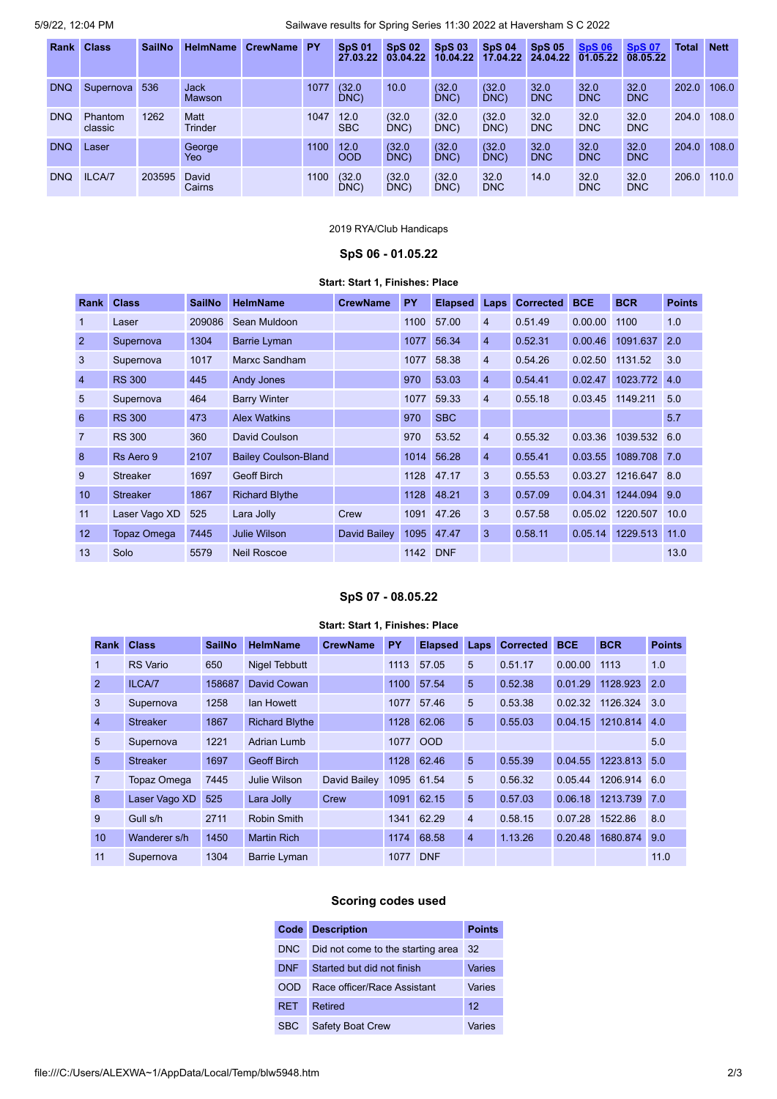5/9/22, 12:04 PM Sailwave results for Spring Series 11:30 2022 at Haversham S C 2022

| <b>Rank</b> | <b>Class</b>       | <b>SailNo</b> | <b>HelmName</b>        | CrewName PY |      | <b>SpS 01</b><br>27.03.22 | <b>SpS 02</b><br>03.04.22 | <b>SpS03</b><br>10.04.22 | <b>SpS 04</b><br>17.04.22 | <b>SpS 05</b><br>24.04.22 | <b>SpS 06</b><br>01.05.22 | <b>SpS 07</b><br>08.05.22 | <b>Total</b> | <b>Nett</b> |
|-------------|--------------------|---------------|------------------------|-------------|------|---------------------------|---------------------------|--------------------------|---------------------------|---------------------------|---------------------------|---------------------------|--------------|-------------|
| <b>DNQ</b>  | Supernova          | 536           | <b>Jack</b><br>Mawson  |             | 1077 | (32.0)<br>DNC)            | 10.0                      | (32.0)<br>DNC)           | (32.0)<br>DNC)            | 32.0<br><b>DNC</b>        | 32.0<br><b>DNC</b>        | 32.0<br><b>DNC</b>        | 202.0        | 106.0       |
| <b>DNQ</b>  | Phantom<br>classic | 1262          | Matt<br><b>Trinder</b> |             | 1047 | 12.0<br><b>SBC</b>        | (32.0)<br>DNC)            | (32.0)<br>DNC)           | (32.0)<br>DNC)            | 32.0<br><b>DNC</b>        | 32.0<br><b>DNC</b>        | 32.0<br><b>DNC</b>        | 204.0        | 108.0       |
| <b>DNQ</b>  | Laser              |               | George<br>Yeo          |             | 1100 | 12.0<br><b>OOD</b>        | (32.0)<br>DNC)            | (32.0)<br>DNC)           | (32.0)<br>DNC)            | 32.0<br><b>DNC</b>        | 32.0<br><b>DNC</b>        | 32.0<br><b>DNC</b>        | 204.0        | 108.0       |
| <b>DNQ</b>  | ILCA/7             | 203595        | David<br>Cairns        |             | 1100 | (32.0)<br>DNC             | (32.0)<br>DNC             | (32.0)<br>DNC            | 32.0<br><b>DNC</b>        | 14.0                      | 32.0<br><b>DNC</b>        | 32.0<br><b>DNC</b>        | 206.0        | 110.0       |

## 2019 RYA/Club Handicaps

## **SpS 06 - 01.05.22**

#### **Start: Start 1, Finishes: Place**

<span id="page-1-0"></span>

| Rank             | <b>Class</b>       | <b>SailNo</b> | <b>HelmName</b>             | <b>CrewName</b> | <b>PY</b> | <b>Elapsed</b> | <b>Laps</b>    | <b>Corrected</b> | <b>BCE</b> | <b>BCR</b> | <b>Points</b> |
|------------------|--------------------|---------------|-----------------------------|-----------------|-----------|----------------|----------------|------------------|------------|------------|---------------|
| 1                | Laser              | 209086        | Sean Muldoon                |                 | 1100      | 57.00          | 4              | 0.51.49          | 0.00.00    | 1100       | 1.0           |
| $\overline{2}$   | Supernova          | 1304          | <b>Barrie Lyman</b>         |                 | 1077      | 56.34          | $\overline{4}$ | 0.52.31          | 0.00.46    | 1091.637   | 2.0           |
| 3                | Supernova          | 1017          | Marxc Sandham               |                 | 1077      | 58.38          | 4              | 0.54.26          | 0.02.50    | 1131.52    | 3.0           |
| $\overline{4}$   | <b>RS 300</b>      | 445           | <b>Andy Jones</b>           |                 | 970       | 53.03          | $\overline{4}$ | 0.54.41          | 0.02.47    | 1023.772   | 4.0           |
| 5                | Supernova          | 464           | <b>Barry Winter</b>         |                 | 1077      | 59.33          | 4              | 0.55.18          | 0.03.45    | 1149.211   | 5.0           |
| 6                | <b>RS 300</b>      | 473           | <b>Alex Watkins</b>         |                 | 970       | <b>SBC</b>     |                |                  |            |            | 5.7           |
| $\overline{7}$   | <b>RS 300</b>      | 360           | David Coulson               |                 | 970       | 53.52          | $\overline{4}$ | 0.55.32          | 0.03.36    | 1039.532   | 6.0           |
| 8                | Rs Aero 9          | 2107          | <b>Bailey Coulson-Bland</b> |                 | 1014      | 56.28          | $\overline{4}$ | 0.55.41          | 0.03.55    | 1089.708   | 7.0           |
| 9                | <b>Streaker</b>    | 1697          | <b>Geoff Birch</b>          |                 | 1128      | 47.17          | 3              | 0.55.53          | 0.03.27    | 1216.647   | 8.0           |
| 10 <sup>10</sup> | <b>Streaker</b>    | 1867          | <b>Richard Blythe</b>       |                 |           | 1128 48.21     | 3              | 0.57.09          | 0.04.31    | 1244.094   | 9.0           |
| 11               | Laser Vago XD      | 525           | Lara Jolly                  | Crew            |           | 1091 47.26     | 3              | 0.57.58          | 0.05.02    | 1220.507   | 10.0          |
| 12               | <b>Topaz Omega</b> | 7445          | Julie Wilson                | David Bailey    |           | 1095 47.47     | 3              | 0.58.11          | 0.05.14    | 1229.513   | 11.0          |
| 13               | Solo               | 5579          | <b>Neil Roscoe</b>          |                 | 1142      | <b>DNF</b>     |                |                  |            |            | 13.0          |

#### **SpS 07 - 08.05.22**

#### **Start: Start 1, Finishes: Place**

<span id="page-1-1"></span>

| <b>Rank</b>    | <b>Class</b>       | <b>SailNo</b> | <b>HelmName</b>       | <b>CrewName</b> | <b>PY</b> | <b>Elapsed</b> | Laps           | <b>Corrected</b> | <b>BCE</b> | <b>BCR</b> | <b>Points</b> |
|----------------|--------------------|---------------|-----------------------|-----------------|-----------|----------------|----------------|------------------|------------|------------|---------------|
| 1              | <b>RS</b> Vario    | 650           | <b>Nigel Tebbutt</b>  |                 | 1113      | 57.05          | 5              | 0.51.17          | 0.00.00    | 1113       | 1.0           |
| $\overline{2}$ | ILCA/7             | 158687        | David Cowan           |                 | 1100      | 57.54          | 5              | 0.52.38          | 0.01.29    | 1128.923   | 2.0           |
| 3              | Supernova          | 1258          | <b>lan Howett</b>     |                 | 1077      | 57.46          | 5              | 0.53.38          | 0.02.32    | 1126.324   | 3.0           |
| $\overline{4}$ | <b>Streaker</b>    | 1867          | <b>Richard Blythe</b> |                 | 1128      | 62.06          | 5              | 0.55.03          | 0.04.15    | 1210.814   | 4.0           |
| 5              | Supernova          | 1221          | Adrian Lumb           |                 | 1077      | <b>OOD</b>     |                |                  |            |            | 5.0           |
| 5              | <b>Streaker</b>    | 1697          | <b>Geoff Birch</b>    |                 | 1128      | 62.46          | 5              | 0.55.39          | 0.04.55    | 1223.813   | 5.0           |
| $\overline{7}$ | <b>Topaz Omega</b> | 7445          | Julie Wilson          | David Bailey    |           | 1095 61.54     | 5              | 0.56.32          | 0.05.44    | 1206.914   | 6.0           |
| 8              | Laser Vago XD      | 525           | Lara Jolly            | Crew            | 1091      | 62.15          | 5              | 0.57.03          | 0.06.18    | 1213.739   | 7.0           |
| 9              | Gull s/h           | 2711          | <b>Robin Smith</b>    |                 | 1341      | 62.29          | $\overline{4}$ | 0.58.15          | 0.07.28    | 1522.86    | 8.0           |
| 10             | Wanderer s/h       | 1450          | <b>Martin Rich</b>    |                 | 1174      | 68.58          | $\overline{4}$ | 1.13.26          | 0.20.48    | 1680.874   | 9.0           |
| 11             | Supernova          | 1304          | <b>Barrie Lyman</b>   |                 | 1077      | <b>DNF</b>     |                |                  |            |            | 11.0          |

# **Scoring codes used**

| Code       | <b>Description</b>                | <b>Points</b> |
|------------|-----------------------------------|---------------|
| DNC.       | Did not come to the starting area | -32           |
| <b>DNF</b> | Started but did not finish        | Varies        |
| OOD        | Race officer/Race Assistant       | Varies        |
| <b>RET</b> | Retired                           | 12            |
| <b>SBC</b> | <b>Safety Boat Crew</b>           | Varies        |